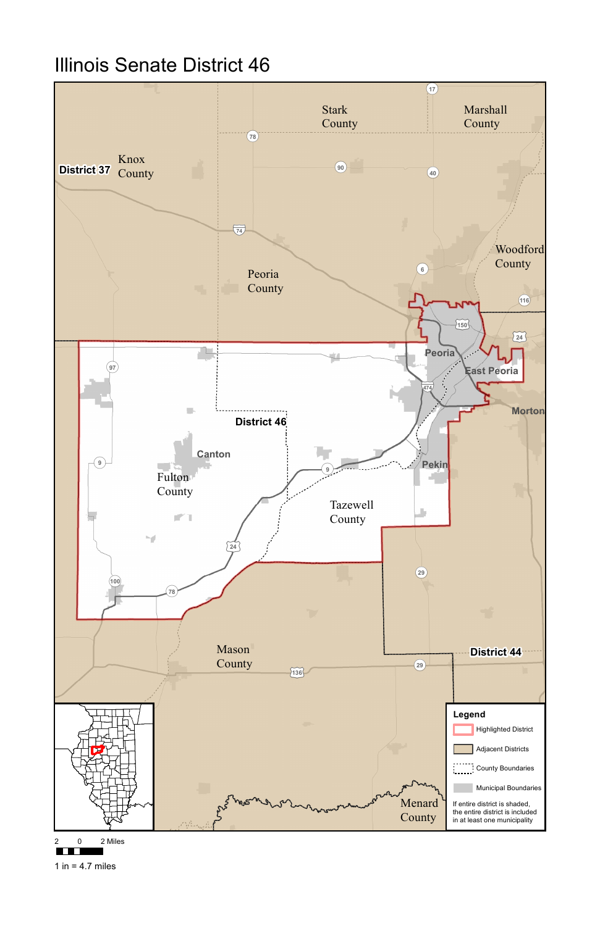

## Illinois Senate District 46

2 0 2 Miles



1 in =  $4.7$  miles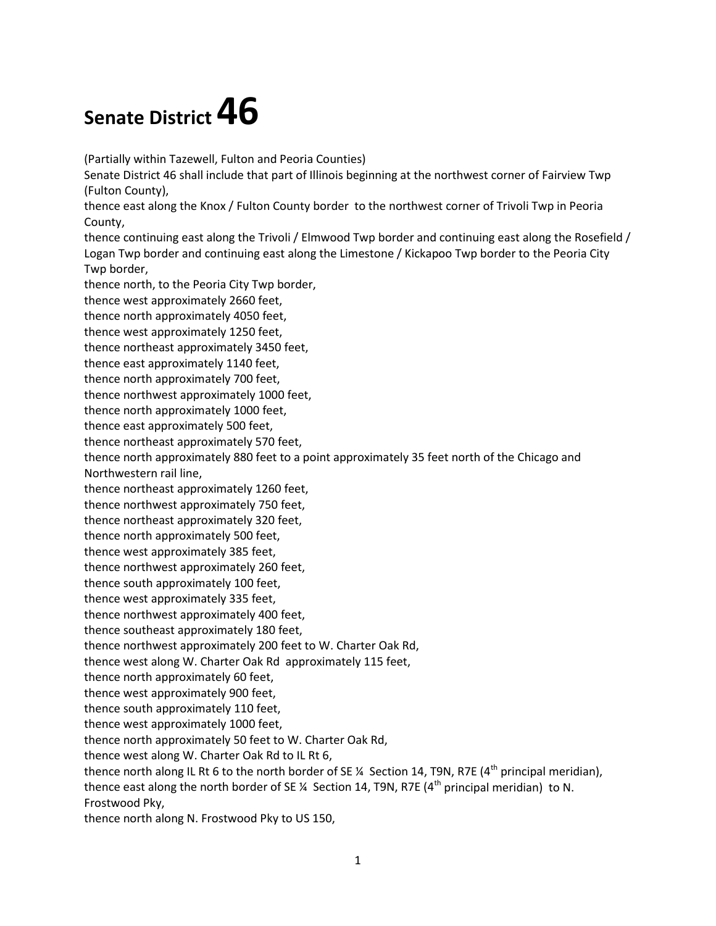## **Senate District 46**

(Partially within Tazewell, Fulton and Peoria Counties)

Senate District 46 shall include that part of Illinois beginning at the northwest corner of Fairview Twp (Fulton County),

thence east along the Knox / Fulton County border to the northwest corner of Trivoli Twp in Peoria County,

 thence continuing east along the Trivoli / Elmwood Twp border and continuing east along the Rosefield / Logan Twp border and continuing east along the Limestone / Kickapoo Twp border to the Peoria City Twp border,

thence north, to the Peoria City Twp border,

thence west approximately 2660 feet,

thence north approximately 4050 feet,

thence west approximately 1250 feet,

thence northeast approximately 3450 feet,

thence east approximately 1140 feet,

thence north approximately 700 feet,

thence northwest approximately 1000 feet,

thence north approximately 1000 feet,

thence east approximately 500 feet,

thence northeast approximately 570 feet,

thence north approximately 880 feet to a point approximately 35 feet north of the Chicago and Northwestern rail line,

thence northeast approximately 1260 feet,

thence northwest approximately 750 feet,

thence northeast approximately 320 feet,

thence north approximately 500 feet,

thence west approximately 385 feet,

thence northwest approximately 260 feet,

thence south approximately 100 feet,

thence west approximately 335 feet,

thence northwest approximately 400 feet,

thence southeast approximately 180 feet,

thence northwest approximately 200 feet to W. Charter Oak Rd,

thence west along W. Charter Oak Rd approximately 115 feet,

thence north approximately 60 feet,

thence west approximately 900 feet,

thence south approximately 110 feet,

thence west approximately 1000 feet,

thence north approximately 50 feet to W. Charter Oak Rd,

thence west along W. Charter Oak Rd to IL Rt 6,

thence north along IL Rt 6 to the north border of SE ¼ Section 14, T9N, R7E (4<sup>th</sup> principal meridian), thence east along the north border of SE ¼ Section 14, T9N, R7E (4<sup>th</sup> principal meridian) to N.

Frostwood Pky,

thence north along N. Frostwood Pky to US 150,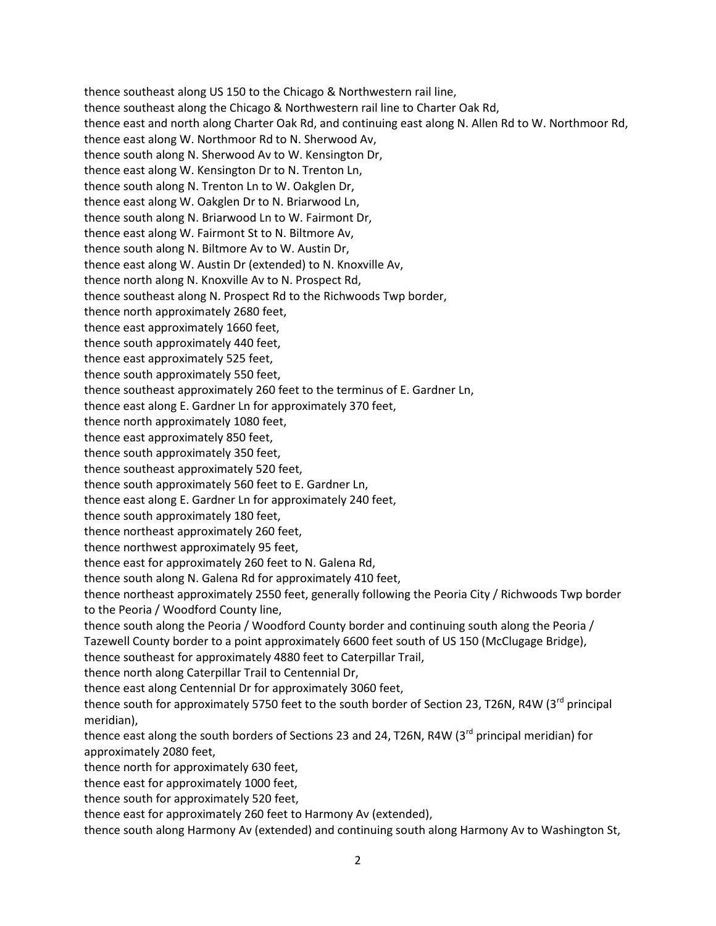thence east along W. Northmoor Rd to N. Sherwood Av, thence south along N. Sherwood Av to W. Kensington Dr, thence east along W. Kensington Dr to N. Trenton Ln, thence east along W. Oakglen Dr to N. Briarwood Ln, thence east along W. Fairmont St to N. Biltmore Av, thence east along W. Austin Dr (extended) to N. Knoxville Av, thence east approximately 1660 feet, thence east approximately 525 feet, thence east along E. Gardner Ln for approximately 370 feet, thence east approximately 850 feet, thence south approximately 560 feet to E. Gardner Ln, thence east along E. Gardner Ln for approximately 240 feet, thence northwest approximately 95 feet, thence east for approximately 260 feet to N. Galena Rd, thence northeast approximately 2550 feet, generally following the Peoria City / Richwoods Twp border to the Peoria / Woodford County line, thence south along the Peoria / Woodford County border and continuing south along the Peoria / thence north along Caterpillar Trail to Centennial Dr, thence east along Centennial Dr for approximately 3060 feet, approximately 2080 feet, thence east for approximately 1000 feet, thence east for approximately 260 feet to Harmony Av (extended), thence southeast along US 150 to the Chicago & Northwestern rail line, thence southeast along the Chicago & Northwestern rail line to Charter Oak Rd, thence east and north along Charter Oak Rd, and continuing east along N. Allen Rd to W. Northmoor Rd, thence south along N. Trenton Ln to W. Oakglen Dr, thence south along N. Briarwood Ln to W. Fairmont Dr, thence south along N. Biltmore Av to W. Austin Dr, thence north along N. Knoxville Av to N. Prospect Rd, thence southeast along N. Prospect Rd to the Richwoods Twp border, thence north approximately 2680 feet, thence south approximately 440 feet, thence south approximately 550 feet, thence southeast approximately 260 feet to the terminus of E. Gardner Ln, thence north approximately 1080 feet, thence south approximately 350 feet, thence southeast approximately 520 feet, thence south approximately 180 feet, thence northeast approximately 260 feet, thence south along N. Galena Rd for approximately 410 feet, Tazewell County border to a point approximately 6600 feet south of US 150 (McClugage Bridge), thence southeast for approximately 4880 feet to Caterpillar Trail, thence south for approximately 5750 feet to the south border of Section 23, T26N, R4W (3<sup>rd</sup> principal meridian), thence east along the south borders of Sections 23 and 24, T26N, R4W (3<sup>rd</sup> principal meridian) for thence north for approximately 630 feet, thence south for approximately 520 feet, thence south along Harmony Av (extended) and continuing south along Harmony Av to Washington St,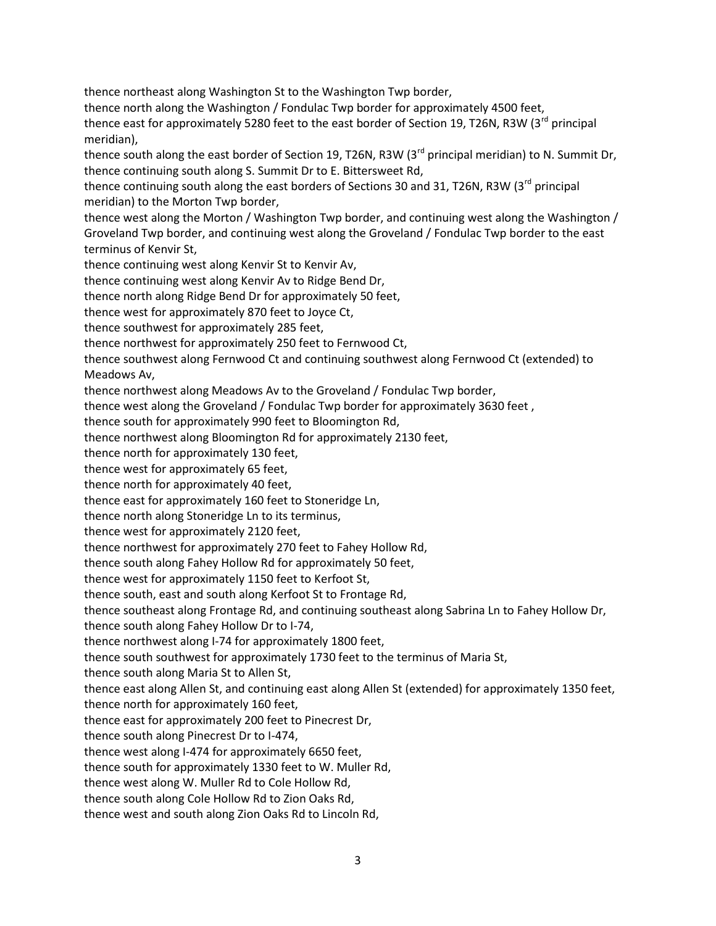thence north along the Washington / Fondulac Twp border for approximately 4500 feet, thence south along the east border of Section 19, T26N, R3W (3<sup>rd</sup> principal meridian) to N. Summit Dr, thence continuing south along S. Summit Dr to E. Bittersweet Rd, Groveland Twp border, and continuing west along the Groveland / Fondulac Twp border to the east thence continuing west along Kenvir Av to Ridge Bend Dr, thence north along Ridge Bend Dr for approximately 50 feet, thence southwest for approximately 285 feet, thence northwest for approximately 250 feet to Fernwood Ct, thence northwest along Meadows Av to the Groveland / Fondulac Twp border, thence northwest along Bloomington Rd for approximately 2130 feet, thence east for approximately 160 feet to Stoneridge Ln, thence northwest for approximately 270 feet to Fahey Hollow Rd, thence west for approximately 1150 feet to Kerfoot St, thence east along Allen St, and continuing east along Allen St (extended) for approximately 1350 feet, thence east for approximately 200 feet to Pinecrest Dr, thence west along I-474 for approximately 6650 feet, thence south along Cole Hollow Rd to Zion Oaks Rd, thence west and south along Zion Oaks Rd to Lincoln Rd, thence northeast along Washington St to the Washington Twp border, thence east for approximately 5280 feet to the east border of Section 19, T26N, R3W (3<sup>rd</sup> principal meridian), thence continuing south along the east borders of Sections 30 and 31, T26N, R3W (3<sup>rd</sup> principal meridian) to the Morton Twp border, thence west along the Morton / Washington Twp border, and continuing west along the Washington / terminus of Kenvir St, thence continuing west along Kenvir St to Kenvir Av, thence west for approximately 870 feet to Joyce Ct, thence southwest along Fernwood Ct and continuing southwest along Fernwood Ct (extended) to Meadows Av, thence west along the Groveland / Fondulac Twp border for approximately 3630 feet , thence south for approximately 990 feet to Bloomington Rd, thence north for approximately 130 feet, thence west for approximately 65 feet, thence north for approximately 40 feet, thence north along Stoneridge Ln to its terminus, thence west for approximately 2120 feet, thence south along Fahey Hollow Rd for approximately 50 feet, thence south, east and south along Kerfoot St to Frontage Rd, thence southeast along Frontage Rd, and continuing southeast along Sabrina Ln to Fahey Hollow Dr, thence south along Fahey Hollow Dr to I-74, thence northwest along I-74 for approximately 1800 feet, thence south southwest for approximately 1730 feet to the terminus of Maria St, thence south along Maria St to Allen St, thence north for approximately 160 feet, thence south along Pinecrest Dr to I-474, thence south for approximately 1330 feet to W. Muller Rd, thence west along W. Muller Rd to Cole Hollow Rd,